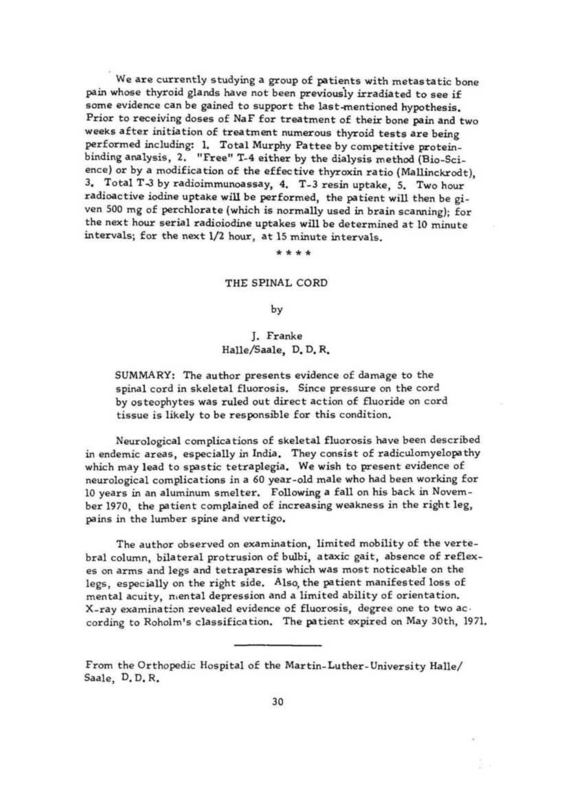We are currently studying a group of patients with metastatic bone pain whose thyroid glands have not been previousiy irradiated to see if some evidence can be gained to support the last-mentioned hypothesis. Prior to receiving doses of NaF for treatment of their bone pain and two weeks after initiation of treatment numerous thyroid tests are being performed including: 1. Total Murphy Pa ttee by competitive proteinbinding analysis, 2. "Free" T-4 either by the dialysis method (Bio-Science} or by a modification of the effective thyroxin ratio (Mallinckrodt), 3. Total T-3 by radioimmunoassay, 4. T-3 resin uptake, 5. Two hour radioactive iodine uptake will be performed, the patient will then be given 500 mg of perchlorate (which is normally used in brain scanning); for the next hour serial radioiodine uptakes will be determined at 10 minute inte<sup>r</sup> vals; for the next 1/2 hour, at 15 minute intervals.

#### \*\*\*\*

### THE SPiNAL CORD

## by

# J. Franke Halle/Saale, D. D. R,

SUMMARY: The author presents evidence of damage to the spinal cord in skeletal fluorosis. Since pressure on the cord by osteophytes was ruled out direct action of fluoride on cord tissue is likely to be responsible for this condition.

Neurological complications of skeletal fluorosis have been described in endemic areas, especially in lndia. They consist of radiculomyelopathy which may lead to spastic tetraplegia. We wish to present evidence of neurological complications in a 60 year-old male who had been working for <sup>10</sup>years in an aluminum smelter. Following a fall on his back in November 1970, the patient complained of increasing weakness in the right leg, pains in the lumber spine and vertigo.

The author observed on examination, limited mobility of the vertebral column, bilateral protrusion of bulbi, ataxic gait, absence of reflexes on arms and legs and tetraparesis which was most noticeable on the legs, especially on the right side. Also, the patient manifested loss of mental acuity, n.ental depression and a limited ability of orientation. X-ray examination revealed evidence of fluorosis, degree one to two according to Roholm's classification. The pa tient expired on May 30th, 1971.

From the Orthopedic Hospital of the Martin-Luther-University Halle/ Saale, D. D. R.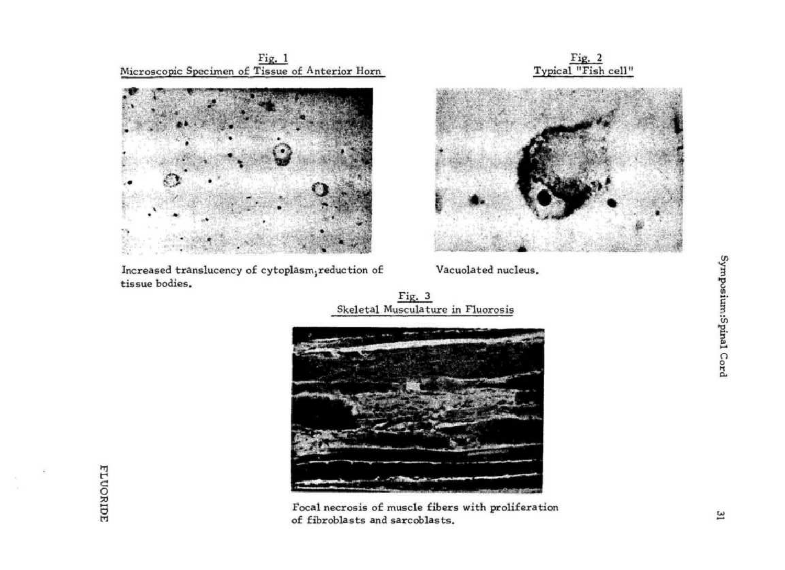$Fig. 1$ Microscopic Specimen of Tissue of Anterior Horn



Increased translucency of cytoplasm, reduction of tissue bodies.





Vacuolated nucleus.

Fig.  $3$ Skeletal Musculature in Fluorosis



Focal necrosis of muscle fibers with proliferation of fibroblasts and sarcoblasts.

**FLUORIDE**